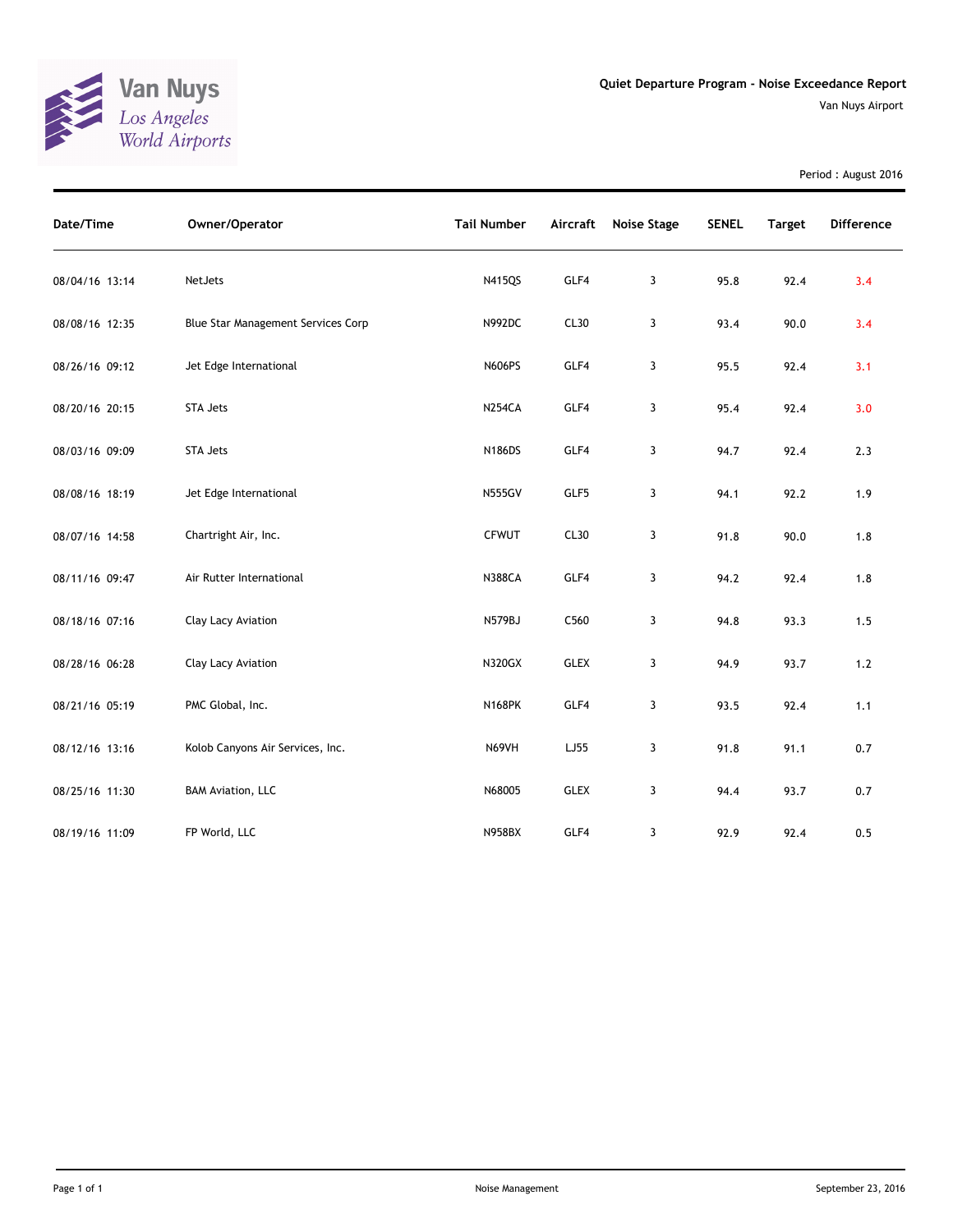

Period : August 2016

| Date/Time      | Owner/Operator                     | <b>Tail Number</b> | Aircraft    | Noise Stage | <b>SENEL</b> | <b>Target</b> | <b>Difference</b> |
|----------------|------------------------------------|--------------------|-------------|-------------|--------------|---------------|-------------------|
| 08/04/16 13:14 | NetJets                            | N415QS             | GLF4        | 3           | 95.8         | 92.4          | 3.4               |
| 08/08/16 12:35 | Blue Star Management Services Corp | N992DC             | CL30        | 3           | 93.4         | 90.0          | 3.4               |
| 08/26/16 09:12 | Jet Edge International             | <b>N606PS</b>      | GLF4        | 3           | 95.5         | 92.4          | 3.1               |
| 08/20/16 20:15 | STA Jets                           | <b>N254CA</b>      | GLF4        | 3           | 95.4         | 92.4          | 3.0               |
| 08/03/16 09:09 | <b>STA Jets</b>                    | <b>N186DS</b>      | GLF4        | 3           | 94.7         | 92.4          | 2.3               |
| 08/08/16 18:19 | Jet Edge International             | <b>N555GV</b>      | GLF5        | 3           | 94.1         | 92.2          | 1.9               |
| 08/07/16 14:58 | Chartright Air, Inc.               | <b>CFWUT</b>       | CL30        | 3           | 91.8         | 90.0          | 1.8               |
| 08/11/16 09:47 | Air Rutter International           | <b>N388CA</b>      | GLF4        | 3           | 94.2         | 92.4          | 1.8               |
| 08/18/16 07:16 | Clay Lacy Aviation                 | N579BJ             | C560        | 3           | 94.8         | 93.3          | 1.5               |
| 08/28/16 06:28 | Clay Lacy Aviation                 | N320GX             | <b>GLEX</b> | 3           | 94.9         | 93.7          | $1.2$             |
| 08/21/16 05:19 | PMC Global, Inc.                   | <b>N168PK</b>      | GLF4        | 3           | 93.5         | 92.4          | 1.1               |
| 08/12/16 13:16 | Kolob Canyons Air Services, Inc.   | N69VH              | LJ55        | 3           | 91.8         | 91.1          | 0.7               |
| 08/25/16 11:30 | <b>BAM Aviation, LLC</b>           | N68005             | <b>GLEX</b> | 3           | 94.4         | 93.7          | 0.7               |
| 08/19/16 11:09 | FP World, LLC                      | <b>N958BX</b>      | GLF4        | 3           | 92.9         | 92.4          | 0.5               |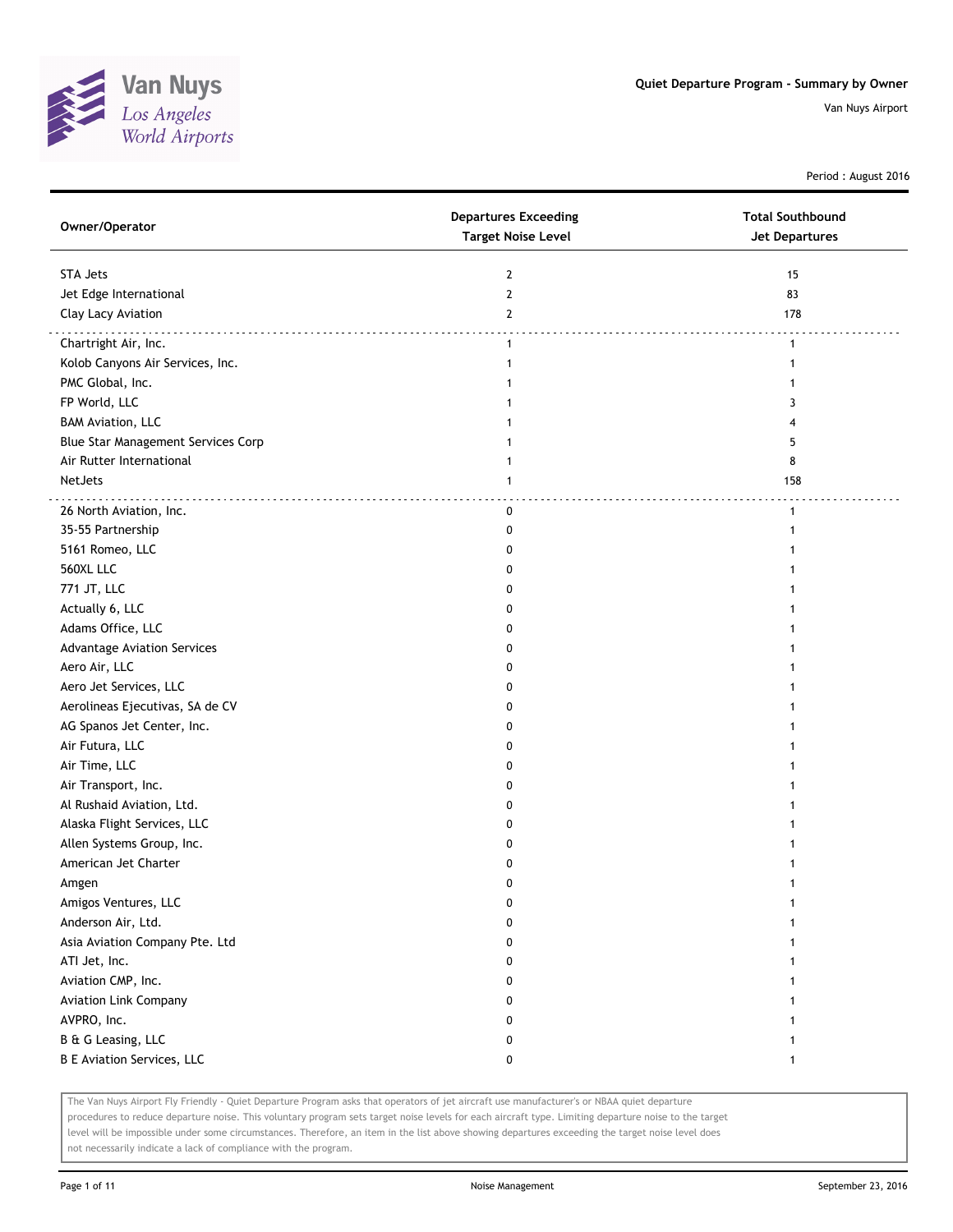

Period : August 2016

| Owner/Operator                     | <b>Departures Exceeding</b><br><b>Target Noise Level</b> | <b>Total Southbound</b><br><b>Jet Departures</b> |
|------------------------------------|----------------------------------------------------------|--------------------------------------------------|
| STA Jets                           | $\overline{2}$                                           | 15                                               |
| Jet Edge International             | $\overline{2}$                                           | 83                                               |
| Clay Lacy Aviation                 | $\mathbf{2}$                                             | 178                                              |
| Chartright Air, Inc.               | $\mathbf{1}$                                             | $\mathbf{1}$                                     |
| Kolob Canyons Air Services, Inc.   | 1                                                        | 1                                                |
| PMC Global, Inc.                   | 1                                                        |                                                  |
| FP World, LLC                      | 1                                                        | 3                                                |
| <b>BAM Aviation, LLC</b>           | 1                                                        | 4                                                |
| Blue Star Management Services Corp | 1                                                        | 5                                                |
| Air Rutter International           | 1                                                        | 8                                                |
| NetJets                            | $\mathbf{1}$                                             | 158                                              |
|                                    |                                                          | .                                                |
| 26 North Aviation, Inc.            | 0                                                        | $\mathbf{1}$                                     |
| 35-55 Partnership                  | 0                                                        |                                                  |
| 5161 Romeo, LLC                    | 0                                                        |                                                  |
| 560XL LLC                          | 0                                                        |                                                  |
| 771 JT, LLC                        | 0                                                        |                                                  |
| Actually 6, LLC                    | 0                                                        |                                                  |
| Adams Office, LLC                  | 0                                                        |                                                  |
| <b>Advantage Aviation Services</b> | 0                                                        |                                                  |
| Aero Air, LLC                      | 0                                                        |                                                  |
| Aero Jet Services, LLC             | 0                                                        |                                                  |
| Aerolineas Ejecutivas, SA de CV    | 0                                                        |                                                  |
| AG Spanos Jet Center, Inc.         | 0                                                        |                                                  |
| Air Futura, LLC                    | O                                                        |                                                  |
| Air Time, LLC                      | 0                                                        |                                                  |
| Air Transport, Inc.                | 0                                                        |                                                  |
| Al Rushaid Aviation, Ltd.          | 0                                                        |                                                  |
| Alaska Flight Services, LLC        | 0                                                        |                                                  |
| Allen Systems Group, Inc.          | 0                                                        |                                                  |
| American Jet Charter               | 0                                                        |                                                  |
| Amgen                              | 0                                                        |                                                  |
| Amigos Ventures, LLC               | o                                                        |                                                  |
| Anderson Air, Ltd.                 | 0                                                        |                                                  |
| Asia Aviation Company Pte. Ltd     | 0                                                        |                                                  |
| ATI Jet, Inc.                      | 0                                                        |                                                  |
| Aviation CMP, Inc.                 | 0                                                        |                                                  |
| <b>Aviation Link Company</b>       | 0                                                        |                                                  |
| AVPRO, Inc.                        | 0                                                        |                                                  |
| B & G Leasing, LLC                 | 0                                                        |                                                  |
| <b>B E Aviation Services, LLC</b>  | 0                                                        | $\mathbf{1}$                                     |

The Van Nuys Airport Fly Friendly - Quiet Departure Program asks that operators of jet aircraft use manufacturer's or NBAA quiet departure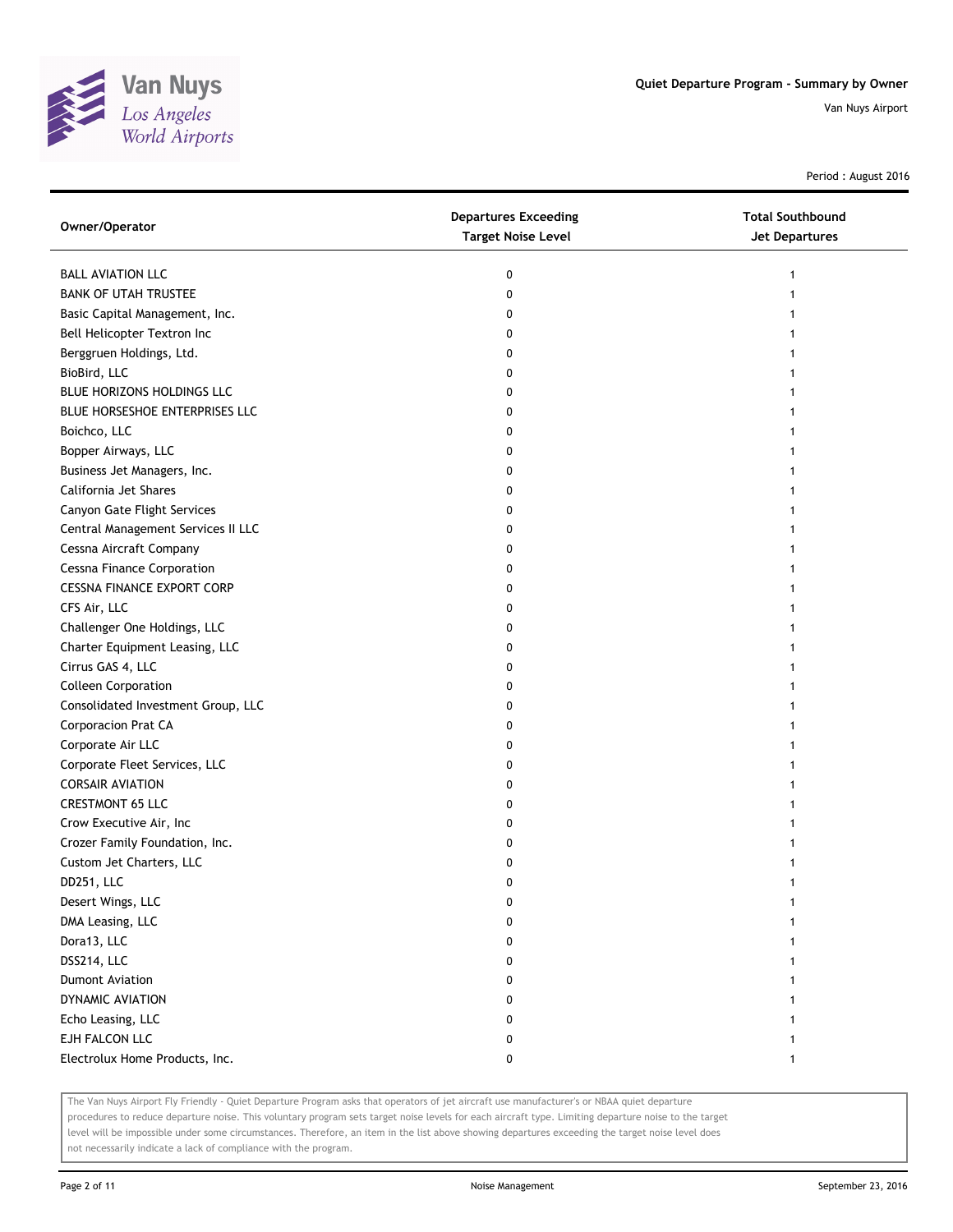

Period : August 2016

| Owner/Operator                     | <b>Departures Exceeding</b><br><b>Target Noise Level</b> | <b>Total Southbound</b><br>Jet Departures |
|------------------------------------|----------------------------------------------------------|-------------------------------------------|
| <b>BALL AVIATION LLC</b>           | 0                                                        |                                           |
| <b>BANK OF UTAH TRUSTEE</b>        | 0                                                        |                                           |
| Basic Capital Management, Inc.     | 0                                                        |                                           |
| Bell Helicopter Textron Inc        | 0                                                        |                                           |
| Berggruen Holdings, Ltd.           | 0                                                        |                                           |
| BioBird, LLC                       | 0                                                        |                                           |
| BLUE HORIZONS HOLDINGS LLC         | 0                                                        |                                           |
| BLUE HORSESHOE ENTERPRISES LLC     | 0                                                        |                                           |
| Boichco, LLC                       | 0                                                        |                                           |
| Bopper Airways, LLC                | 0                                                        |                                           |
| Business Jet Managers, Inc.        | 0                                                        |                                           |
| California Jet Shares              | 0                                                        |                                           |
| Canyon Gate Flight Services        | 0                                                        |                                           |
| Central Management Services II LLC | 0                                                        |                                           |
| Cessna Aircraft Company            | 0                                                        |                                           |
| <b>Cessna Finance Corporation</b>  | 0                                                        |                                           |
| <b>CESSNA FINANCE EXPORT CORP</b>  | 0                                                        |                                           |
| CFS Air, LLC                       | 0                                                        |                                           |
| Challenger One Holdings, LLC       | 0                                                        |                                           |
| Charter Equipment Leasing, LLC     | 0                                                        |                                           |
| Cirrus GAS 4, LLC                  | 0                                                        |                                           |
| <b>Colleen Corporation</b>         | 0                                                        |                                           |
| Consolidated Investment Group, LLC | 0                                                        |                                           |
| Corporacion Prat CA                | 0                                                        |                                           |
| Corporate Air LLC                  | 0                                                        |                                           |
| Corporate Fleet Services, LLC      | 0                                                        |                                           |
| <b>CORSAIR AVIATION</b>            | 0                                                        |                                           |
| <b>CRESTMONT 65 LLC</b>            | 0                                                        |                                           |
| Crow Executive Air, Inc            | 0                                                        |                                           |
| Crozer Family Foundation, Inc.     | 0                                                        |                                           |
| Custom Jet Charters, LLC           | 0                                                        |                                           |
| DD251, LLC                         | 0                                                        |                                           |
| Desert Wings, LLC                  | 0                                                        |                                           |
| DMA Leasing, LLC                   | 0                                                        |                                           |
| Dora13, LLC                        | 0                                                        |                                           |
| DSS214, LLC                        | 0                                                        |                                           |
| <b>Dumont Aviation</b>             | 0                                                        |                                           |
| DYNAMIC AVIATION                   | 0                                                        |                                           |
| Echo Leasing, LLC                  | 0                                                        |                                           |
| EJH FALCON LLC                     | 0                                                        |                                           |
| Electrolux Home Products, Inc.     | 0                                                        | 1                                         |

The Van Nuys Airport Fly Friendly - Quiet Departure Program asks that operators of jet aircraft use manufacturer's or NBAA quiet departure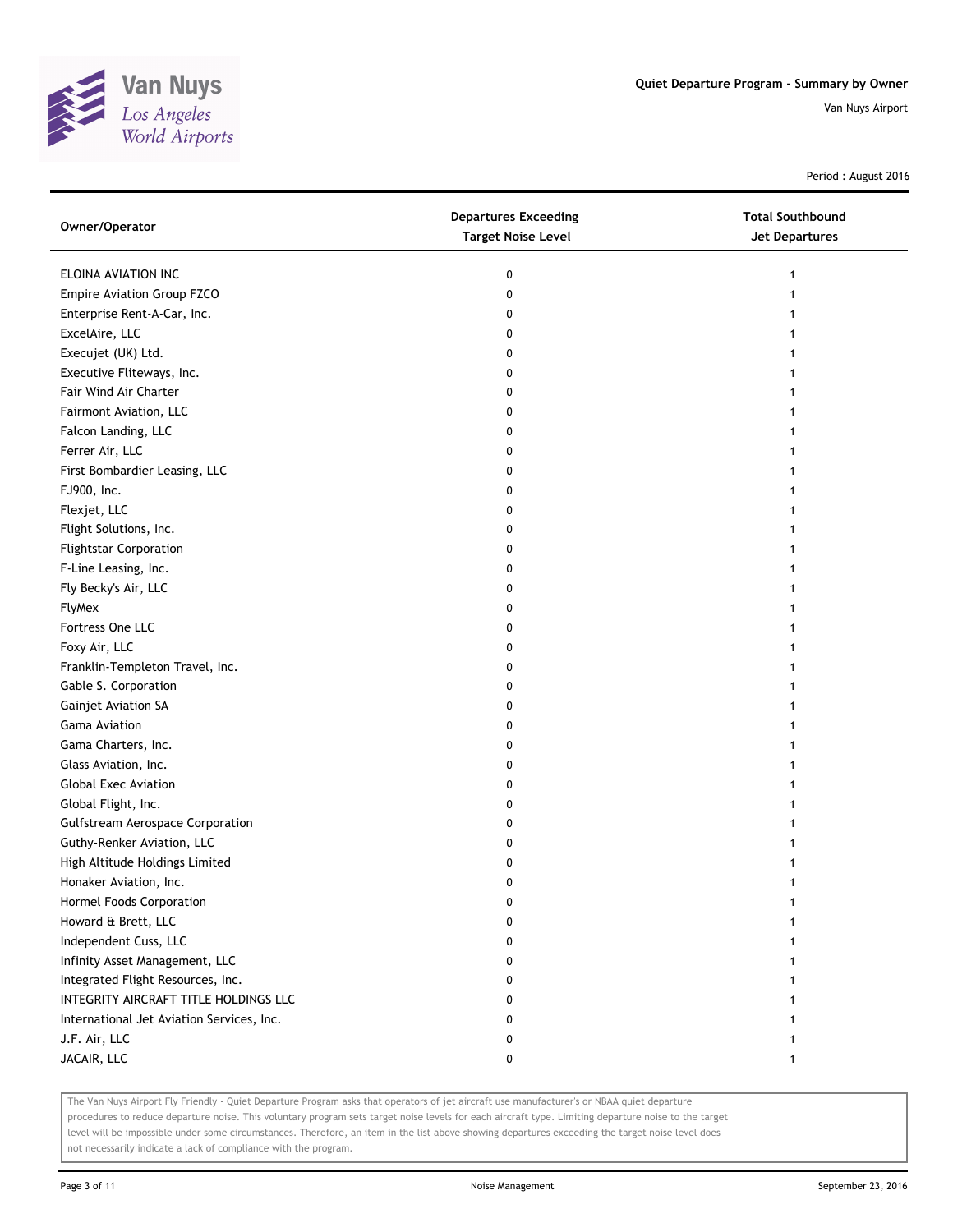

Period : August 2016

| Owner/Operator                            | <b>Departures Exceeding</b><br><b>Target Noise Level</b> | <b>Total Southbound</b><br>Jet Departures |
|-------------------------------------------|----------------------------------------------------------|-------------------------------------------|
| ELOINA AVIATION INC                       | 0                                                        | 1                                         |
| Empire Aviation Group FZCO                | 0                                                        |                                           |
| Enterprise Rent-A-Car, Inc.               | 0                                                        |                                           |
| ExcelAire, LLC                            | 0                                                        |                                           |
| Execujet (UK) Ltd.                        | 0                                                        |                                           |
| Executive Fliteways, Inc.                 | 0                                                        | 1                                         |
| Fair Wind Air Charter                     | 0                                                        |                                           |
| Fairmont Aviation, LLC                    | 0                                                        |                                           |
| Falcon Landing, LLC                       | 0                                                        |                                           |
| Ferrer Air, LLC                           | 0                                                        |                                           |
| First Bombardier Leasing, LLC             | 0                                                        |                                           |
| FJ900, Inc.                               | 0                                                        |                                           |
| Flexjet, LLC                              | 0                                                        |                                           |
| Flight Solutions, Inc.                    | 0                                                        |                                           |
| <b>Flightstar Corporation</b>             | 0                                                        |                                           |
| F-Line Leasing, Inc.                      | 0                                                        |                                           |
| Fly Becky's Air, LLC                      | 0                                                        |                                           |
| <b>FlyMex</b>                             | 0                                                        |                                           |
| Fortress One LLC                          | 0                                                        |                                           |
| Foxy Air, LLC                             | 0                                                        |                                           |
| Franklin-Templeton Travel, Inc.           | 0                                                        |                                           |
| Gable S. Corporation                      | 0                                                        |                                           |
| Gainjet Aviation SA                       | 0                                                        |                                           |
| Gama Aviation                             | 0                                                        |                                           |
| Gama Charters, Inc.                       | 0                                                        |                                           |
| Glass Aviation, Inc.                      | 0                                                        | 1                                         |
| <b>Global Exec Aviation</b>               | 0                                                        |                                           |
| Global Flight, Inc.                       | 0                                                        |                                           |
| <b>Gulfstream Aerospace Corporation</b>   | 0                                                        |                                           |
| Guthy-Renker Aviation, LLC                | 0                                                        |                                           |
| High Altitude Holdings Limited            | 0                                                        |                                           |
| Honaker Aviation, Inc.                    | 0                                                        |                                           |
| Hormel Foods Corporation                  | 0                                                        |                                           |
| Howard & Brett, LLC                       | 0                                                        |                                           |
| Independent Cuss, LLC                     | 0                                                        |                                           |
| Infinity Asset Management, LLC            | 0                                                        |                                           |
| Integrated Flight Resources, Inc.         | 0                                                        |                                           |
| INTEGRITY AIRCRAFT TITLE HOLDINGS LLC     | 0                                                        |                                           |
| International Jet Aviation Services, Inc. | 0                                                        |                                           |
| J.F. Air, LLC                             | 0                                                        |                                           |
| JACAIR, LLC                               | 0                                                        | 1                                         |

The Van Nuys Airport Fly Friendly - Quiet Departure Program asks that operators of jet aircraft use manufacturer's or NBAA quiet departure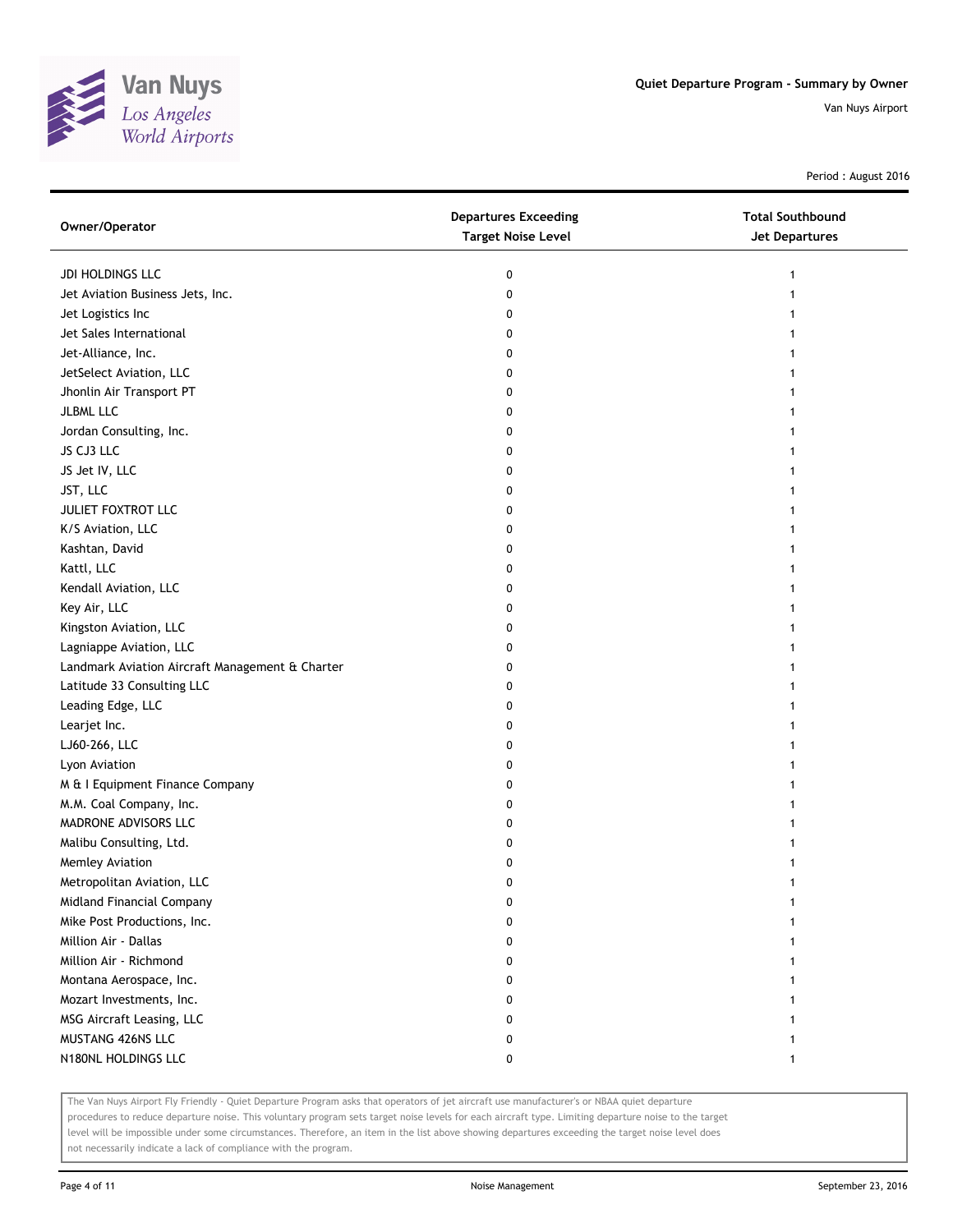

Period : August 2016

| Owner/Operator                                  | <b>Departures Exceeding</b><br><b>Target Noise Level</b> | <b>Total Southbound</b><br><b>Jet Departures</b> |
|-------------------------------------------------|----------------------------------------------------------|--------------------------------------------------|
| JDI HOLDINGS LLC                                | 0                                                        |                                                  |
| Jet Aviation Business Jets, Inc.                | 0                                                        |                                                  |
| Jet Logistics Inc                               | 0                                                        |                                                  |
| Jet Sales International                         | 0                                                        |                                                  |
| Jet-Alliance, Inc.                              | 0                                                        |                                                  |
| JetSelect Aviation, LLC                         | 0                                                        |                                                  |
| Jhonlin Air Transport PT                        | 0                                                        |                                                  |
| <b>JLBML LLC</b>                                | 0                                                        |                                                  |
| Jordan Consulting, Inc.                         | 0                                                        |                                                  |
| JS CJ3 LLC                                      | 0                                                        |                                                  |
| JS Jet IV, LLC                                  | 0                                                        |                                                  |
| JST, LLC                                        | 0                                                        |                                                  |
| JULIET FOXTROT LLC                              | 0                                                        |                                                  |
| K/S Aviation, LLC                               | 0                                                        |                                                  |
| Kashtan, David                                  | 0                                                        |                                                  |
| Kattl, LLC                                      | 0                                                        |                                                  |
| Kendall Aviation, LLC                           | 0                                                        |                                                  |
| Key Air, LLC                                    | 0                                                        |                                                  |
| Kingston Aviation, LLC                          | 0                                                        |                                                  |
| Lagniappe Aviation, LLC                         | 0                                                        |                                                  |
| Landmark Aviation Aircraft Management & Charter | 0                                                        |                                                  |
| Latitude 33 Consulting LLC                      | 0                                                        |                                                  |
| Leading Edge, LLC                               | 0                                                        |                                                  |
| Learjet Inc.                                    | 0                                                        |                                                  |
| LJ60-266, LLC                                   | 0                                                        |                                                  |
| Lyon Aviation                                   | 0                                                        |                                                  |
| M & I Equipment Finance Company                 | 0                                                        |                                                  |
| M.M. Coal Company, Inc.                         | 0                                                        |                                                  |
| MADRONE ADVISORS LLC                            | 0                                                        |                                                  |
| Malibu Consulting, Ltd.                         | 0                                                        |                                                  |
| Memley Aviation                                 | 0                                                        |                                                  |
| Metropolitan Aviation, LLC                      | 0                                                        |                                                  |
| Midland Financial Company                       | 0                                                        |                                                  |
| Mike Post Productions, Inc.                     | o                                                        |                                                  |
| Million Air - Dallas                            |                                                          |                                                  |
| Million Air - Richmond                          | 0                                                        |                                                  |
| Montana Aerospace, Inc.                         | 0                                                        |                                                  |
| Mozart Investments, Inc.                        | 0                                                        |                                                  |
| MSG Aircraft Leasing, LLC                       | 0                                                        |                                                  |
| MUSTANG 426NS LLC                               | 0                                                        |                                                  |
| N180NL HOLDINGS LLC                             | 0                                                        |                                                  |

The Van Nuys Airport Fly Friendly - Quiet Departure Program asks that operators of jet aircraft use manufacturer's or NBAA quiet departure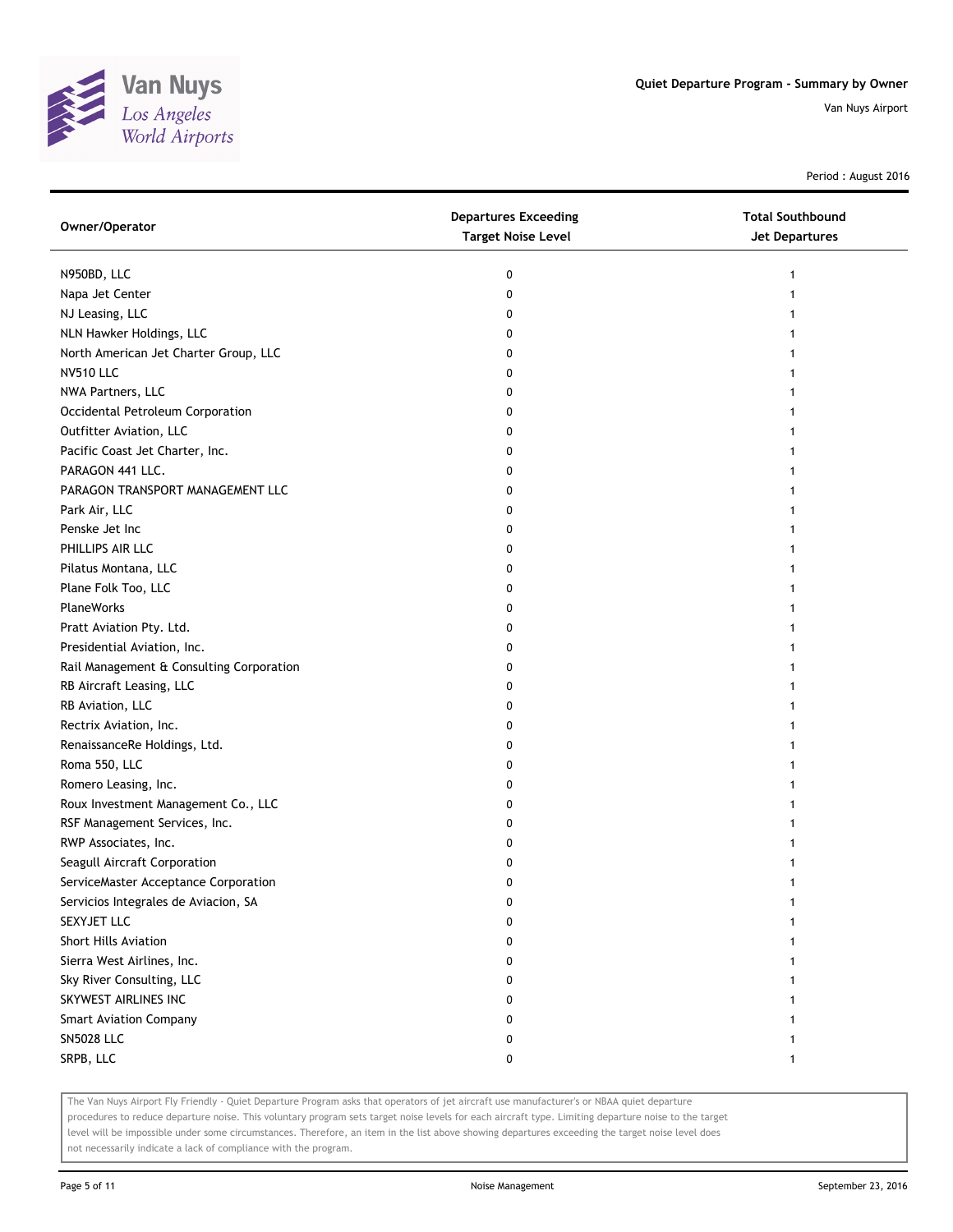

Period : August 2016

| Owner/Operator                           | <b>Departures Exceeding</b><br><b>Target Noise Level</b> | <b>Total Southbound</b><br>Jet Departures |
|------------------------------------------|----------------------------------------------------------|-------------------------------------------|
| N950BD, LLC                              | 0                                                        | 1                                         |
| Napa Jet Center                          | 0                                                        |                                           |
| NJ Leasing, LLC                          | 0                                                        |                                           |
| NLN Hawker Holdings, LLC                 | 0                                                        |                                           |
| North American Jet Charter Group, LLC    | 0                                                        | 1                                         |
| <b>NV510 LLC</b>                         | 0                                                        | 1                                         |
| NWA Partners, LLC                        | 0                                                        |                                           |
| Occidental Petroleum Corporation         | 0                                                        |                                           |
| Outfitter Aviation, LLC                  | 0                                                        |                                           |
| Pacific Coast Jet Charter, Inc.          | 0                                                        |                                           |
| PARAGON 441 LLC.                         | 0                                                        |                                           |
| PARAGON TRANSPORT MANAGEMENT LLC         | 0                                                        |                                           |
| Park Air, LLC                            | 0                                                        |                                           |
| Penske Jet Inc                           | 0                                                        |                                           |
| PHILLIPS AIR LLC                         | 0                                                        | 1                                         |
| Pilatus Montana, LLC                     | 0                                                        |                                           |
| Plane Folk Too, LLC                      | 0                                                        |                                           |
| <b>PlaneWorks</b>                        | 0                                                        |                                           |
| Pratt Aviation Pty. Ltd.                 | 0                                                        |                                           |
| Presidential Aviation, Inc.              | 0                                                        |                                           |
| Rail Management & Consulting Corporation | 0                                                        |                                           |
| RB Aircraft Leasing, LLC                 | 0                                                        |                                           |
| RB Aviation, LLC                         | 0                                                        |                                           |
| Rectrix Aviation, Inc.                   | 0                                                        |                                           |
| RenaissanceRe Holdings, Ltd.             | 0                                                        |                                           |
| Roma 550, LLC                            | 0                                                        |                                           |
| Romero Leasing, Inc.                     | 0                                                        |                                           |
| Roux Investment Management Co., LLC      | 0                                                        |                                           |
| RSF Management Services, Inc.            | 0                                                        |                                           |
| RWP Associates, Inc.                     | 0                                                        |                                           |
| Seagull Aircraft Corporation             | 0                                                        |                                           |
| ServiceMaster Acceptance Corporation     | 0                                                        |                                           |
| Servicios Integrales de Aviacion, SA     | 0                                                        |                                           |
| SEXYJET LLC                              | 0                                                        |                                           |
| <b>Short Hills Aviation</b>              | 0                                                        |                                           |
| Sierra West Airlines, Inc.               | 0                                                        |                                           |
| Sky River Consulting, LLC                | 0                                                        |                                           |
| SKYWEST AIRLINES INC                     | 0                                                        |                                           |
| <b>Smart Aviation Company</b>            | 0                                                        |                                           |
| <b>SN5028 LLC</b>                        | 0                                                        |                                           |
| SRPB, LLC                                | 0                                                        |                                           |

The Van Nuys Airport Fly Friendly - Quiet Departure Program asks that operators of jet aircraft use manufacturer's or NBAA quiet departure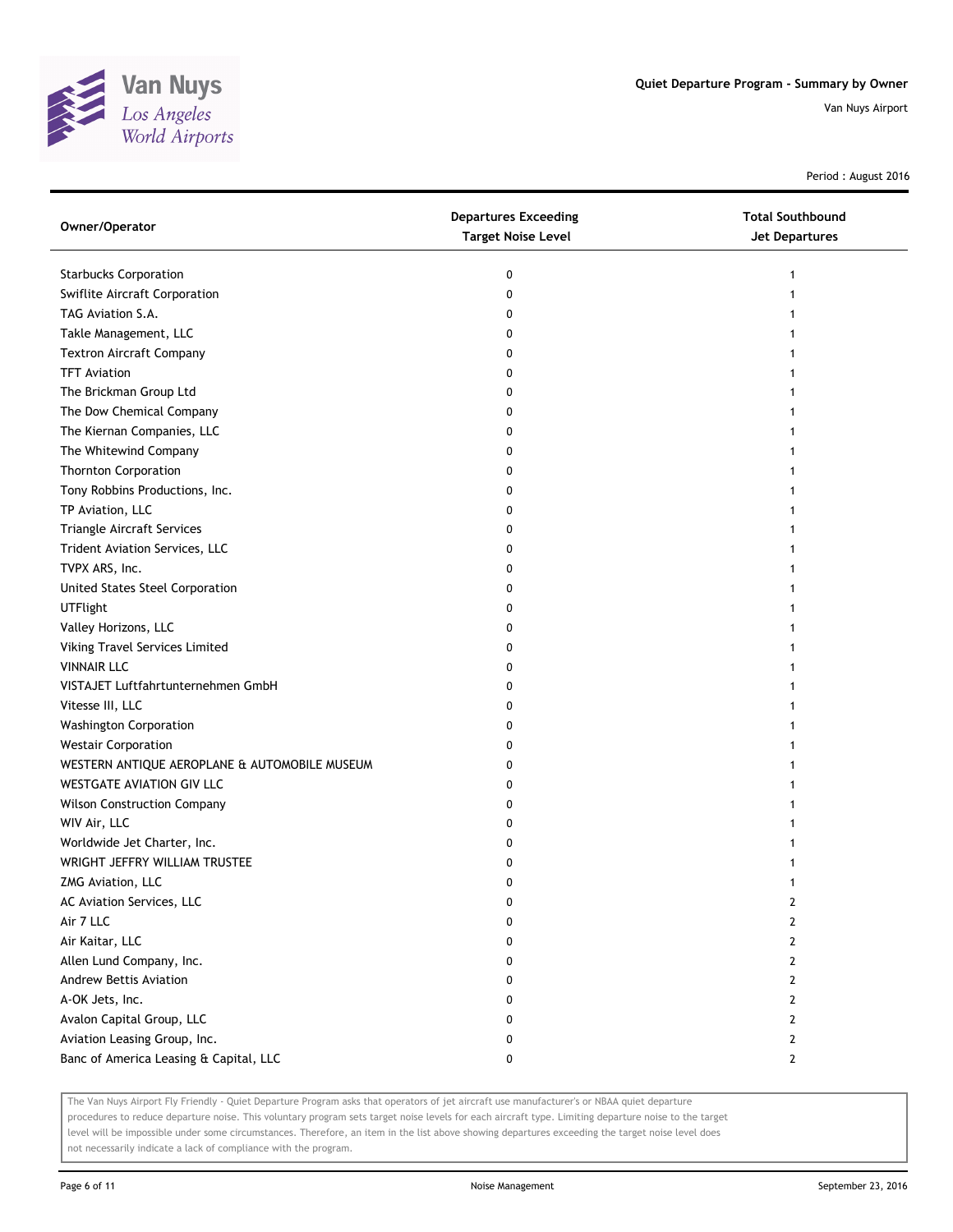

Period : August 2016

| Owner/Operator                                | <b>Departures Exceeding</b><br><b>Target Noise Level</b> | <b>Total Southbound</b><br>Jet Departures |
|-----------------------------------------------|----------------------------------------------------------|-------------------------------------------|
| <b>Starbucks Corporation</b>                  | 0                                                        | 1                                         |
| Swiflite Aircraft Corporation                 | 0                                                        |                                           |
| TAG Aviation S.A.                             | 0                                                        |                                           |
| Takle Management, LLC                         | 0                                                        |                                           |
| <b>Textron Aircraft Company</b>               | 0                                                        |                                           |
| <b>TFT Aviation</b>                           | 0                                                        |                                           |
| The Brickman Group Ltd                        | 0                                                        |                                           |
| The Dow Chemical Company                      | 0                                                        |                                           |
| The Kiernan Companies, LLC                    | 0                                                        |                                           |
| The Whitewind Company                         | 0                                                        |                                           |
| <b>Thornton Corporation</b>                   | 0                                                        |                                           |
| Tony Robbins Productions, Inc.                | 0                                                        |                                           |
| TP Aviation, LLC                              | 0                                                        |                                           |
| Triangle Aircraft Services                    | 0                                                        |                                           |
| Trident Aviation Services, LLC                | 0                                                        |                                           |
| TVPX ARS, Inc.                                | 0                                                        |                                           |
| United States Steel Corporation               | 0                                                        |                                           |
| <b>UTFlight</b>                               | 0                                                        | 1                                         |
| Valley Horizons, LLC                          | 0                                                        |                                           |
| Viking Travel Services Limited                | 0                                                        |                                           |
| <b>VINNAIR LLC</b>                            | 0                                                        |                                           |
| VISTAJET Luftfahrtunternehmen GmbH            | 0                                                        |                                           |
| Vitesse III, LLC                              | 0                                                        |                                           |
| <b>Washington Corporation</b>                 | 0                                                        |                                           |
| <b>Westair Corporation</b>                    | 0                                                        |                                           |
| WESTERN ANTIQUE AEROPLANE & AUTOMOBILE MUSEUM | 0                                                        |                                           |
| WESTGATE AVIATION GIV LLC                     | 0                                                        |                                           |
| <b>Wilson Construction Company</b>            | 0                                                        |                                           |
| WIV Air, LLC                                  | 0                                                        |                                           |
| Worldwide Jet Charter, Inc.                   | 0                                                        |                                           |
| WRIGHT JEFFRY WILLIAM TRUSTEE                 | 0                                                        |                                           |
| ZMG Aviation, LLC                             | 0                                                        |                                           |
| AC Aviation Services, LLC                     | U                                                        | 2                                         |
| Air 7 LLC                                     | 0                                                        | 2                                         |
| Air Kaitar, LLC                               | 0                                                        | 2                                         |
| Allen Lund Company, Inc.                      | 0                                                        | 2                                         |
| Andrew Bettis Aviation                        | 0                                                        | 2                                         |
| A-OK Jets, Inc.                               | 0                                                        | 2                                         |
| Avalon Capital Group, LLC                     | 0                                                        | 2                                         |
| Aviation Leasing Group, Inc.                  | 0                                                        | $\mathbf{2}$                              |
| Banc of America Leasing & Capital, LLC        | 0                                                        | $\mathbf{2}$                              |

The Van Nuys Airport Fly Friendly - Quiet Departure Program asks that operators of jet aircraft use manufacturer's or NBAA quiet departure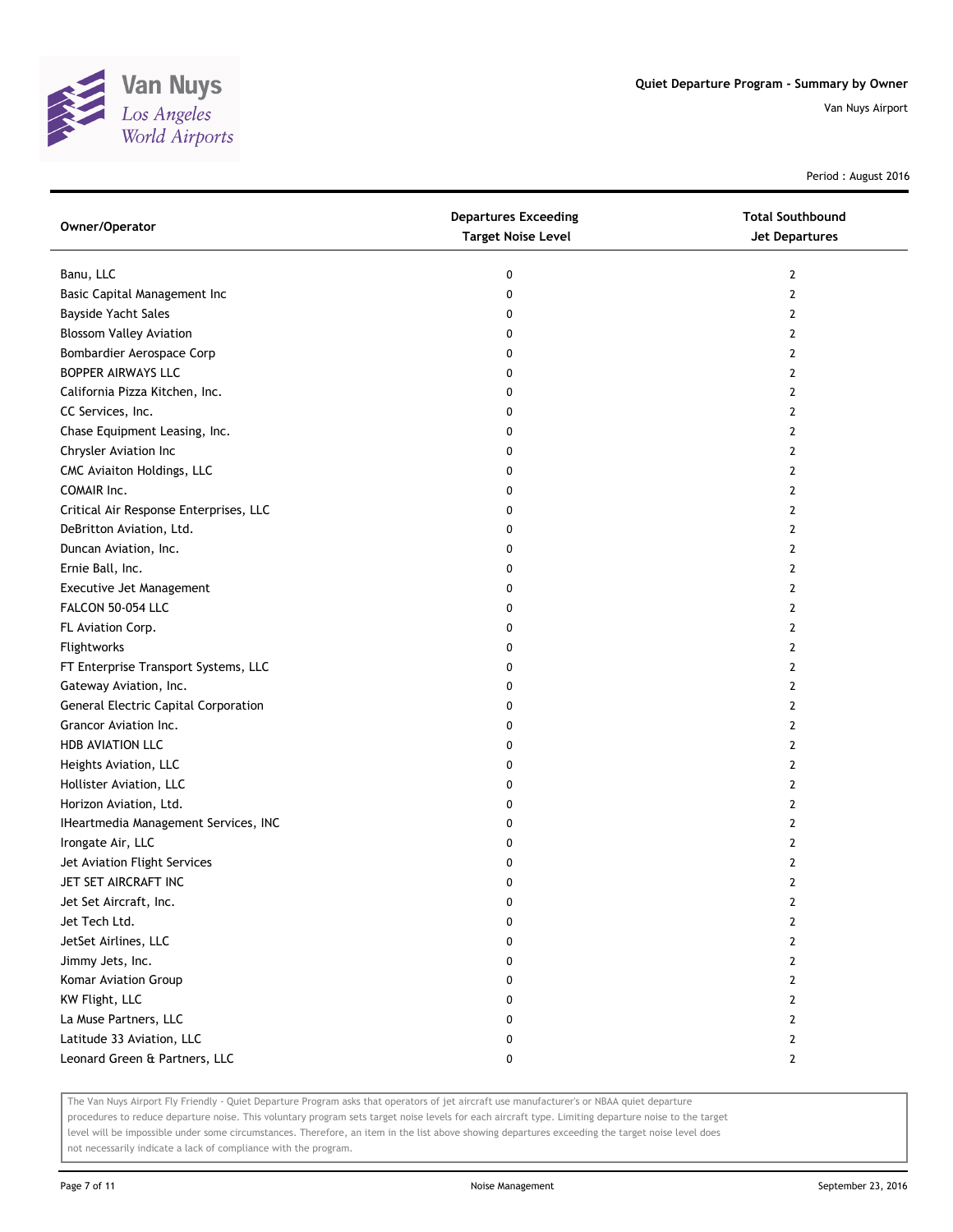

Period : August 2016

| Owner/Operator                         | <b>Departures Exceeding</b><br><b>Target Noise Level</b> | <b>Total Southbound</b><br>Jet Departures |
|----------------------------------------|----------------------------------------------------------|-------------------------------------------|
| Banu, LLC                              | 0                                                        | 2                                         |
| Basic Capital Management Inc           | 0                                                        | 2                                         |
| Bayside Yacht Sales                    | 0                                                        | 2                                         |
| <b>Blossom Valley Aviation</b>         | 0                                                        | $\overline{2}$                            |
| Bombardier Aerospace Corp              | 0                                                        | 2                                         |
| <b>BOPPER AIRWAYS LLC</b>              | 0                                                        | 2                                         |
| California Pizza Kitchen, Inc.         | 0                                                        | 2                                         |
| CC Services, Inc.                      | 0                                                        | 2                                         |
| Chase Equipment Leasing, Inc.          | 0                                                        | $\mathbf{2}$                              |
| Chrysler Aviation Inc                  | 0                                                        | $\mathbf{2}$                              |
| CMC Aviaiton Holdings, LLC             | 0                                                        | $\overline{2}$                            |
| COMAIR Inc.                            | 0                                                        | 2                                         |
| Critical Air Response Enterprises, LLC | 0                                                        | 2                                         |
| DeBritton Aviation, Ltd.               | 0                                                        | $\mathbf{2}$                              |
| Duncan Aviation, Inc.                  | 0                                                        | 2                                         |
| Ernie Ball, Inc.                       | 0                                                        | 2                                         |
| Executive Jet Management               | 0                                                        | 2                                         |
| FALCON 50-054 LLC                      | 0                                                        | 2                                         |
| FL Aviation Corp.                      | 0                                                        | $\mathbf{2}$                              |
| Flightworks                            | 0                                                        | $\mathbf{2}$                              |
| FT Enterprise Transport Systems, LLC   | 0                                                        | $\overline{2}$                            |
| Gateway Aviation, Inc.                 | 0                                                        | 2                                         |
| General Electric Capital Corporation   | 0                                                        | 2                                         |
| Grancor Aviation Inc.                  | 0                                                        | $\mathbf{2}$                              |
| <b>HDB AVIATION LLC</b>                | 0                                                        | 2                                         |
| Heights Aviation, LLC                  | 0                                                        | 2                                         |
| Hollister Aviation, LLC                | 0                                                        | 2                                         |
| Horizon Aviation, Ltd.                 | 0                                                        | 2                                         |
| IHeartmedia Management Services, INC   | 0                                                        | $\mathbf{2}$                              |
| Irongate Air, LLC                      | 0                                                        | 2                                         |
| Jet Aviation Flight Services           | 0                                                        | 2                                         |
| JET SET AIRCRAFT INC                   | 0                                                        | 2                                         |
| Jet Set Aircraft, Inc.                 | 0                                                        | 2                                         |
| Jet Tech Ltd.                          | 0                                                        | $\mathbf{2}$                              |
| JetSet Airlines, LLC                   | 0                                                        | $\mathbf{2}$                              |
| Jimmy Jets, Inc.                       | 0                                                        | 2                                         |
| Komar Aviation Group                   | 0                                                        | 2                                         |
| KW Flight, LLC                         | 0                                                        | 2                                         |
| La Muse Partners, LLC                  | 0                                                        | $\mathbf{2}$                              |
| Latitude 33 Aviation, LLC              | 0                                                        | $\mathbf{2}$                              |
| Leonard Green & Partners, LLC          | 0                                                        | $\mathbf{2}$                              |

The Van Nuys Airport Fly Friendly - Quiet Departure Program asks that operators of jet aircraft use manufacturer's or NBAA quiet departure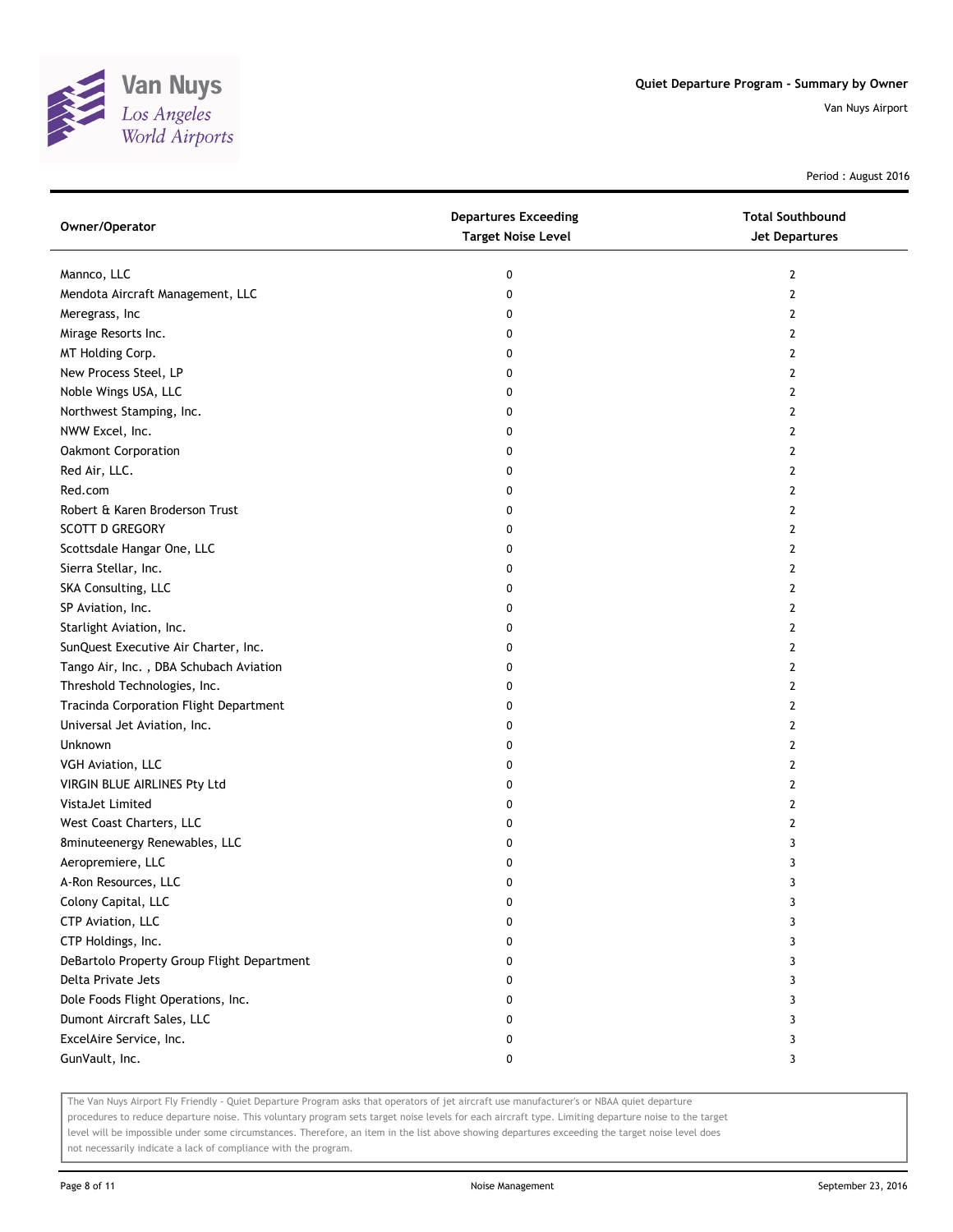

Period : August 2016

| Owner/Operator                             | <b>Departures Exceeding</b><br><b>Target Noise Level</b> | <b>Total Southbound</b><br>Jet Departures |
|--------------------------------------------|----------------------------------------------------------|-------------------------------------------|
| Mannco, LLC                                | 0                                                        | $\mathbf{2}$                              |
| Mendota Aircraft Management, LLC           | 0                                                        | $\overline{2}$                            |
| Meregrass, Inc                             | 0                                                        | 2                                         |
| Mirage Resorts Inc.                        | 0                                                        | $\mathbf{2}$                              |
| MT Holding Corp.                           | 0                                                        | 2                                         |
| New Process Steel, LP                      | 0                                                        | 2                                         |
| Noble Wings USA, LLC                       | 0                                                        | $\overline{2}$                            |
| Northwest Stamping, Inc.                   | 0                                                        | $\overline{2}$                            |
| NWW Excel, Inc.                            | 0                                                        | $\overline{2}$                            |
| Oakmont Corporation                        | 0                                                        | $\overline{2}$                            |
| Red Air, LLC.                              | 0                                                        | $\overline{2}$                            |
| Red.com                                    | 0                                                        | $\overline{2}$                            |
| Robert & Karen Broderson Trust             | 0                                                        | $\overline{2}$                            |
| <b>SCOTT D GREGORY</b>                     | 0                                                        | $\overline{2}$                            |
| Scottsdale Hangar One, LLC                 | 0                                                        | 2                                         |
| Sierra Stellar, Inc.                       | 0                                                        | 2                                         |
| SKA Consulting, LLC                        | 0                                                        | 2                                         |
| SP Aviation, Inc.                          | 0                                                        | 2                                         |
| Starlight Aviation, Inc.                   | 0                                                        | $\mathbf{2}$                              |
| SunQuest Executive Air Charter, Inc.       | 0                                                        | $\overline{2}$                            |
| Tango Air, Inc., DBA Schubach Aviation     | 0                                                        | $\mathbf{2}$                              |
| Threshold Technologies, Inc.               | 0                                                        | $\mathbf{2}$                              |
| Tracinda Corporation Flight Department     | 0                                                        | $\overline{2}$                            |
| Universal Jet Aviation, Inc.               | 0                                                        | $\mathbf{2}$                              |
| Unknown                                    | 0                                                        | 2                                         |
| VGH Aviation, LLC                          | 0                                                        | 2                                         |
| VIRGIN BLUE AIRLINES Pty Ltd               | 0                                                        | 2                                         |
| VistaJet Limited                           | 0                                                        | $\overline{2}$                            |
| West Coast Charters, LLC                   | 0                                                        | $\mathbf{2}$                              |
| 8minuteenergy Renewables, LLC              | 0                                                        | 3                                         |
| Aeropremiere, LLC                          | 0                                                        | 3                                         |
| A-Ron Resources, LLC                       | 0                                                        | 3                                         |
| Colony Capital, LLC                        | 0                                                        | 3                                         |
| CTP Aviation, LLC                          | 0                                                        | 3                                         |
| CTP Holdings, Inc.                         | 0                                                        | 3                                         |
| DeBartolo Property Group Flight Department | 0                                                        | 3                                         |
| Delta Private Jets                         | 0                                                        | 3                                         |
| Dole Foods Flight Operations, Inc.         | 0                                                        | 3                                         |
| Dumont Aircraft Sales, LLC                 | 0                                                        | 3                                         |
| ExcelAire Service, Inc.                    | 0                                                        | 3                                         |
| GunVault, Inc.                             | 0                                                        | 3                                         |

The Van Nuys Airport Fly Friendly - Quiet Departure Program asks that operators of jet aircraft use manufacturer's or NBAA quiet departure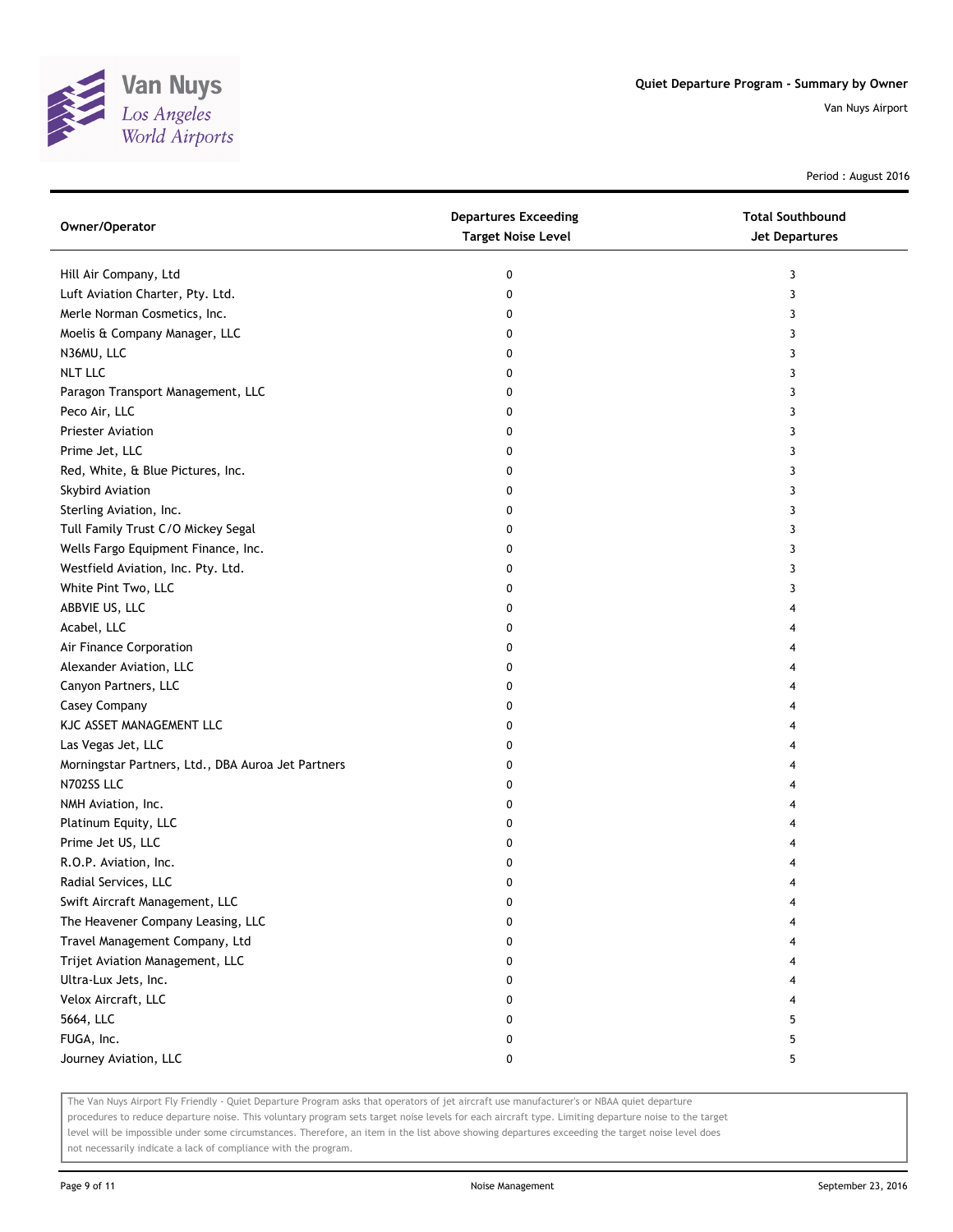

Period : August 2016

| Owner/Operator                                     | <b>Departures Exceeding</b><br><b>Target Noise Level</b> | <b>Total Southbound</b><br><b>Jet Departures</b> |
|----------------------------------------------------|----------------------------------------------------------|--------------------------------------------------|
| Hill Air Company, Ltd                              | 0                                                        | 3                                                |
| Luft Aviation Charter, Pty. Ltd.                   | 0                                                        | 3                                                |
| Merle Norman Cosmetics, Inc.                       | 0                                                        | 3                                                |
| Moelis & Company Manager, LLC                      | 0                                                        | 3                                                |
| N36MU, LLC                                         | 0                                                        | 3                                                |
| <b>NLT LLC</b>                                     | 0                                                        | 3                                                |
| Paragon Transport Management, LLC                  | 0                                                        | 3                                                |
| Peco Air, LLC                                      | 0                                                        | 3                                                |
| Priester Aviation                                  | 0                                                        | 3                                                |
| Prime Jet, LLC                                     | 0                                                        | 3                                                |
| Red, White, & Blue Pictures, Inc.                  | 0                                                        | 3                                                |
| Skybird Aviation                                   | 0                                                        | 3                                                |
| Sterling Aviation, Inc.                            | 0                                                        | 3                                                |
| Tull Family Trust C/O Mickey Segal                 | 0                                                        | 3                                                |
| Wells Fargo Equipment Finance, Inc.                | 0                                                        | 3                                                |
| Westfield Aviation, Inc. Pty. Ltd.                 | 0                                                        | 3                                                |
| White Pint Two, LLC                                | 0                                                        | 3                                                |
| ABBVIE US, LLC                                     | 0                                                        | 4                                                |
| Acabel, LLC                                        | 0                                                        | 4                                                |
| Air Finance Corporation                            | 0                                                        | 4                                                |
| Alexander Aviation, LLC                            | 0                                                        | 4                                                |
| Canyon Partners, LLC                               | 0                                                        | 4                                                |
| Casey Company                                      | 0                                                        | 4                                                |
| KJC ASSET MANAGEMENT LLC                           | 0                                                        | 4                                                |
| Las Vegas Jet, LLC                                 | 0                                                        | 4                                                |
| Morningstar Partners, Ltd., DBA Auroa Jet Partners | 0                                                        | 4                                                |
| N702SS LLC                                         | 0                                                        | 4                                                |
| NMH Aviation, Inc.                                 | 0                                                        | 4                                                |
| Platinum Equity, LLC                               | 0                                                        | 4                                                |
| Prime Jet US, LLC                                  | 0                                                        | 4                                                |
| R.O.P. Aviation, Inc.                              | 0                                                        | 4                                                |
| Radial Services, LLC                               | 0                                                        | 4                                                |
| Swift Aircraft Management, LLC                     | 0                                                        | 4                                                |
| The Heavener Company Leasing, LLC                  | 0                                                        | 4                                                |
| Travel Management Company, Ltd                     | 0                                                        | 4                                                |
| Trijet Aviation Management, LLC                    | 0                                                        | 4                                                |
| Ultra-Lux Jets, Inc.                               | 0                                                        | 4                                                |
| Velox Aircraft, LLC                                | 0                                                        | 4                                                |
| 5664, LLC                                          | 0                                                        | 5                                                |
| FUGA, Inc.                                         | 0                                                        | 5                                                |
| Journey Aviation, LLC                              | 0                                                        | 5                                                |

The Van Nuys Airport Fly Friendly - Quiet Departure Program asks that operators of jet aircraft use manufacturer's or NBAA quiet departure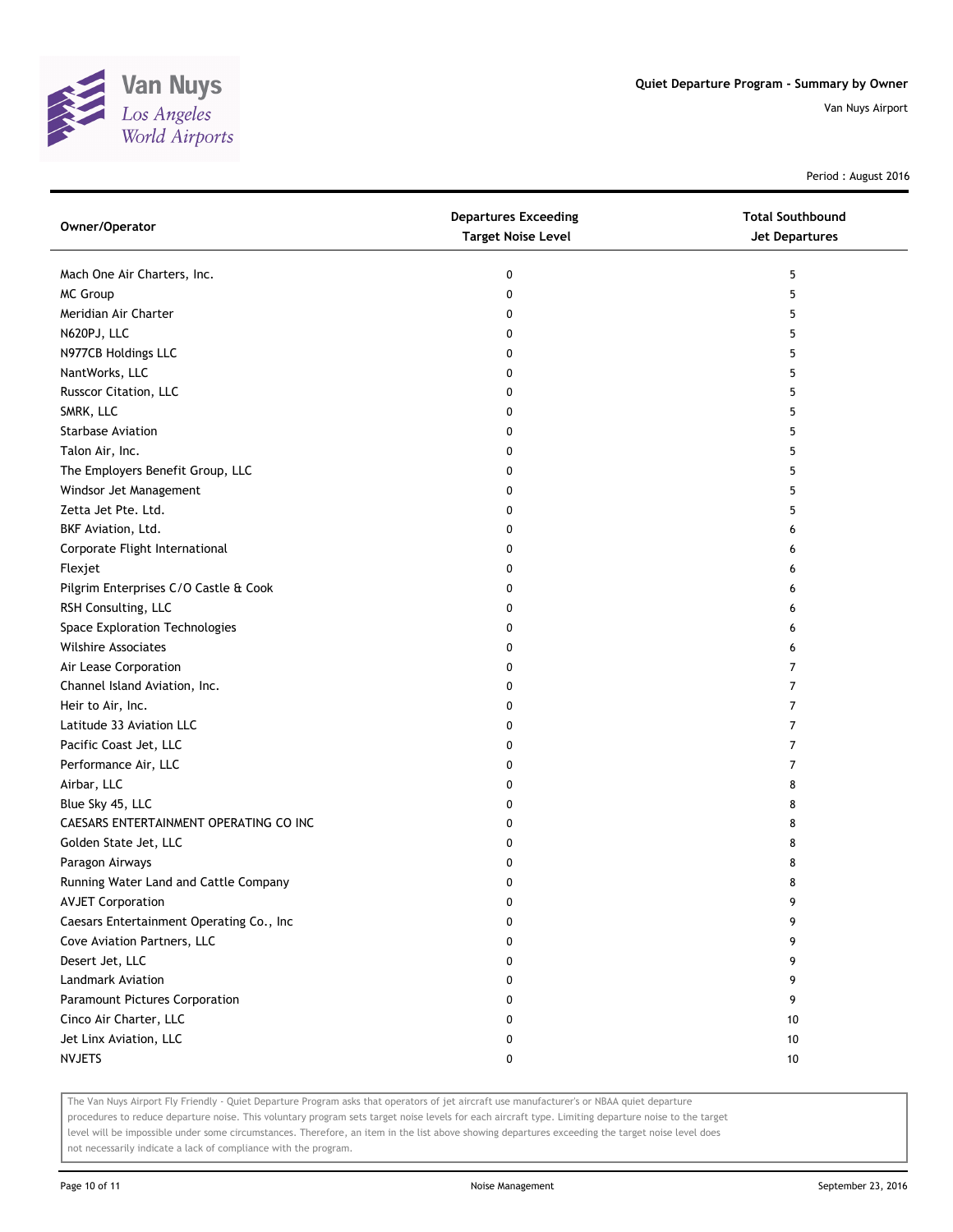

Period : August 2016

| Owner/Operator                           | <b>Departures Exceeding</b><br><b>Target Noise Level</b> | <b>Total Southbound</b><br>Jet Departures |
|------------------------------------------|----------------------------------------------------------|-------------------------------------------|
| Mach One Air Charters, Inc.              | 0                                                        | 5                                         |
| MC Group                                 | 0                                                        | 5                                         |
| Meridian Air Charter                     | 0                                                        | 5                                         |
| N620PJ, LLC                              | 0                                                        | 5                                         |
| N977CB Holdings LLC                      | 0                                                        | 5                                         |
| NantWorks, LLC                           | 0                                                        | 5                                         |
| Russcor Citation, LLC                    | 0                                                        | 5                                         |
| SMRK, LLC                                | 0                                                        | 5                                         |
| Starbase Aviation                        | 0                                                        | 5                                         |
| Talon Air, Inc.                          | 0                                                        | 5                                         |
| The Employers Benefit Group, LLC         | 0                                                        | 5                                         |
| Windsor Jet Management                   | 0                                                        | 5                                         |
| Zetta Jet Pte. Ltd.                      | 0                                                        | 5                                         |
| BKF Aviation, Ltd.                       | 0                                                        | 6                                         |
| Corporate Flight International           | 0                                                        | 6                                         |
| Flexjet                                  | 0                                                        | 6                                         |
| Pilgrim Enterprises C/O Castle & Cook    | 0                                                        | 6                                         |
| RSH Consulting, LLC                      | 0                                                        | 6                                         |
| Space Exploration Technologies           | 0                                                        | 6                                         |
| <b>Wilshire Associates</b>               | 0                                                        | 6                                         |
| Air Lease Corporation                    | 0                                                        | 7                                         |
| Channel Island Aviation, Inc.            | 0                                                        | 7                                         |
| Heir to Air, Inc.                        | 0                                                        | 7                                         |
| Latitude 33 Aviation LLC                 | 0                                                        | 7                                         |
| Pacific Coast Jet, LLC                   | 0                                                        | 7                                         |
| Performance Air, LLC                     | 0                                                        | 7                                         |
| Airbar, LLC                              | 0                                                        | 8                                         |
| Blue Sky 45, LLC                         | 0                                                        | 8                                         |
| CAESARS ENTERTAINMENT OPERATING CO INC   | 0                                                        | 8                                         |
| Golden State Jet, LLC                    | 0                                                        | 8                                         |
| Paragon Airways                          | 0                                                        | 8                                         |
| Running Water Land and Cattle Company    | 0                                                        | 8                                         |
| <b>AVJET Corporation</b>                 | 0                                                        | 9                                         |
| Caesars Entertainment Operating Co., Inc | 0                                                        | 9                                         |
| Cove Aviation Partners, LLC              | 0                                                        | 9                                         |
| Desert Jet, LLC                          | 0                                                        | 9                                         |
| Landmark Aviation                        | 0                                                        | 9                                         |
| Paramount Pictures Corporation           | 0                                                        | 9                                         |
| Cinco Air Charter, LLC                   | 0                                                        | 10                                        |
| Jet Linx Aviation, LLC                   | 0                                                        | 10                                        |
| <b>NVJETS</b>                            | 0                                                        | 10                                        |

The Van Nuys Airport Fly Friendly - Quiet Departure Program asks that operators of jet aircraft use manufacturer's or NBAA quiet departure